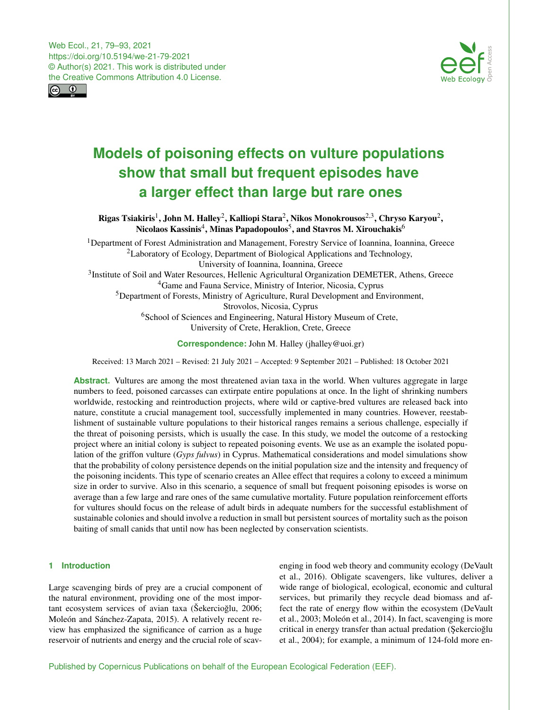Web Ecol., 21, 79–93, 2021 https://doi.org/10.5194/we-21-79-2021 © Author(s) 2021. This work is distributed under the Creative Commons Attribution 4.0 License.





# **Models of poisoning effects on vulture populations show that small but frequent episodes have a larger effect than large but rare ones**

Rigas Tsiakiris $^1$  $^1$ , John M. Halley $^2$  $^2$ , Kalliopi Stara $^2$ , Nikos Monokrousos $^{2,3}$  $^{2,3}$  $^{2,3}$ , Chryso Karyou $^2$ , Nicolaos Kassinis $^4$  $^4$ , Minas Papadopoulos $^5$  $^5$ , and Stavros M. Xirouchakis $^6$  $^6$ 

<sup>1</sup>Department of Forest Administration and Management, Forestry Service of Ioannina, Ioannina, Greece <sup>2</sup>Laboratory of Ecology, Department of Biological Applications and Technology, University of Ioannina, Ioannina, Greece <sup>3</sup>Institute of Soil and Water Resources, Hellenic Agricultural Organization DEMETER, Athens, Greece <sup>4</sup>Game and Fauna Service, Ministry of Interior, Nicosia, Cyprus <sup>5</sup>Department of Forests, Ministry of Agriculture, Rural Development and Environment, Strovolos, Nicosia, Cyprus <sup>6</sup>School of Sciences and Engineering, Natural History Museum of Crete, University of Crete, Heraklion, Crete, Greece

**Correspondence:** John M. Halley (jhalley@uoi.gr)

Received: 13 March 2021 – Revised: 21 July 2021 – Accepted: 9 September 2021 – Published: 18 October 2021

**Abstract.** Vultures are among the most threatened avian taxa in the world. When vultures aggregate in large numbers to feed, poisoned carcasses can extirpate entire populations at once. In the light of shrinking numbers worldwide, restocking and reintroduction projects, where wild or captive-bred vultures are released back into nature, constitute a crucial management tool, successfully implemented in many countries. However, reestablishment of sustainable vulture populations to their historical ranges remains a serious challenge, especially if the threat of poisoning persists, which is usually the case. In this study, we model the outcome of a restocking project where an initial colony is subject to repeated poisoning events. We use as an example the isolated population of the griffon vulture (*Gyps fulvus*) in Cyprus. Mathematical considerations and model simulations show that the probability of colony persistence depends on the initial population size and the intensity and frequency of the poisoning incidents. This type of scenario creates an Allee effect that requires a colony to exceed a minimum size in order to survive. Also in this scenario, a sequence of small but frequent poisoning episodes is worse on average than a few large and rare ones of the same cumulative mortality. Future population reinforcement efforts for vultures should focus on the release of adult birds in adequate numbers for the successful establishment of sustainable colonies and should involve a reduction in small but persistent sources of mortality such as the poison baiting of small canids that until now has been neglected by conservation scientists.

# <span id="page-0-0"></span>**1 Introduction**

Large scavenging birds of prey are a crucial component of the natural environment, providing one of the most important ecosystem services of avian taxa (Šekercioğlu, 2006; Moleón and Sánchez-Zapata, 2015). A relatively recent review has emphasized the significance of carrion as a huge reservoir of nutrients and energy and the crucial role of scavenging in food web theory and community ecology (DeVault et al., 2016). Obligate scavengers, like vultures, deliver a wide range of biological, ecological, economic and cultural services, but primarily they recycle dead biomass and affect the rate of energy flow within the ecosystem (DeVault et al., 2003; Moleón et al., 2014). In fact, scavenging is more critical in energy transfer than actual predation (Şekercioğlu et al., 2004); for example, a minimum of 124-fold more en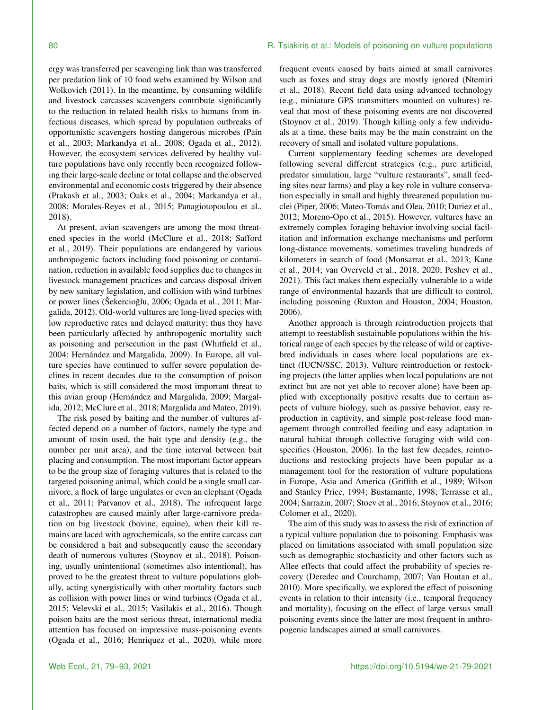ergy was transferred per scavenging link than was transferred per predation link of 10 food webs examined by Wilson and Wolkovich (2011). In the meantime, by consuming wildlife and livestock carcasses scavengers contribute significantly to the reduction in related health risks to humans from infectious diseases, which spread by population outbreaks of opportunistic scavengers hosting dangerous microbes (Pain et al., 2003; Markandya et al., 2008; Ogada et al., 2012). However, the ecosystem services delivered by healthy vulture populations have only recently been recognized following their large-scale decline or total collapse and the observed environmental and economic costs triggered by their absence (Prakash et al., 2003; Oaks et al., 2004; Markandya et al., 2008; Morales-Reyes et al., 2015; Panagiotopoulou et al., 2018).

At present, avian scavengers are among the most threatened species in the world (McClure et al., 2018; Safford et al., 2019). Their populations are endangered by various anthropogenic factors including food poisoning or contamination, reduction in available food supplies due to changes in livestock management practices and carcass disposal driven by new sanitary legislation, and collision with wind turbines or power lines (Šekercioğlu, 2006; Ogada et al., 2011; Margalida, 2012). Old-world vultures are long-lived species with low reproductive rates and delayed maturity; thus they have been particularly affected by anthropogenic mortality such as poisoning and persecution in the past (Whitfield et al., 2004; Hernández and Margalida, 2009). In Europe, all vulture species have continued to suffer severe population declines in recent decades due to the consumption of poison baits, which is still considered the most important threat to this avian group (Hernández and Margalida, 2009; Margalida, 2012; McClure et al., 2018; Margalida and Mateo, 2019).

The risk posed by baiting and the number of vultures affected depend on a number of factors, namely the type and amount of toxin used, the bait type and density (e.g., the number per unit area), and the time interval between bait placing and consumption. The most important factor appears to be the group size of foraging vultures that is related to the targeted poisoning animal, which could be a single small carnivore, a flock of large ungulates or even an elephant (Ogada et al., 2011; Parvanov et al., 2018). The infrequent large catastrophes are caused mainly after large-carnivore predation on big livestock (bovine, equine), when their kill remains are laced with agrochemicals, so the entire carcass can be considered a bait and subsequently cause the secondary death of numerous vultures (Stoynov et al., 2018). Poisoning, usually unintentional (sometimes also intentional), has proved to be the greatest threat to vulture populations globally, acting synergistically with other mortality factors such as collision with power lines or wind turbines (Ogada et al., 2015; Velevski et al., 2015; Vasilakis et al., 2016). Though poison baits are the most serious threat, international media attention has focused on impressive mass-poisoning events (Ogada et al., 2016; Henriquez et al., 2020), while more

frequent events caused by baits aimed at small carnivores such as foxes and stray dogs are mostly ignored (Ntemiri et al., 2018). Recent field data using advanced technology (e.g., miniature GPS transmitters mounted on vultures) reveal that most of these poisoning events are not discovered (Stoynov et al., 2019). Though killing only a few individuals at a time, these baits may be the main constraint on the recovery of small and isolated vulture populations.

Current supplementary feeding schemes are developed following several different strategies (e.g., pure artificial, predator simulation, large "vulture restaurants", small feeding sites near farms) and play a key role in vulture conservation especially in small and highly threatened population nuclei (Piper, 2006; Mateo-Tomás and Olea, 2010; Duriez et al., 2012; Moreno-Opo et al., 2015). However, vultures have an extremely complex foraging behavior involving social facilitation and information exchange mechanisms and perform long-distance movements, sometimes traveling hundreds of kilometers in search of food (Monsarrat et al., 2013; Kane et al., 2014; van Overveld et al., 2018, 2020; Peshev et al., 2021). This fact makes them especially vulnerable to a wide range of environmental hazards that are difficult to control, including poisoning (Ruxton and Houston, 2004; Houston, 2006).

Another approach is through reintroduction projects that attempt to reestablish sustainable populations within the historical range of each species by the release of wild or captivebred individuals in cases where local populations are extinct (IUCN/SSC, 2013). Vulture reintroduction or restocking projects (the latter applies when local populations are not extinct but are not yet able to recover alone) have been applied with exceptionally positive results due to certain aspects of vulture biology, such as passive behavior, easy reproduction in captivity, and simple post-release food management through controlled feeding and easy adaptation in natural habitat through collective foraging with wild conspecifics (Houston, 2006). In the last few decades, reintroductions and restocking projects have been popular as a management tool for the restoration of vulture populations in Europe, Asia and America (Griffith et al., 1989; Wilson and Stanley Price, 1994; Bustamante, 1998; Terrasse et al., 2004; Sarrazin, 2007; Stoev et al., 2016; Stoynov et al., 2016; Colomer et al., 2020).

The aim of this study was to assess the risk of extinction of a typical vulture population due to poisoning. Emphasis was placed on limitations associated with small population size such as demographic stochasticity and other factors such as Allee effects that could affect the probability of species recovery (Deredec and Courchamp, 2007; Van Houtan et al., 2010). More specifically, we explored the effect of poisoning events in relation to their intensity (i.e., temporal frequency and mortality), focusing on the effect of large versus small poisoning events since the latter are most frequent in anthropogenic landscapes aimed at small carnivores.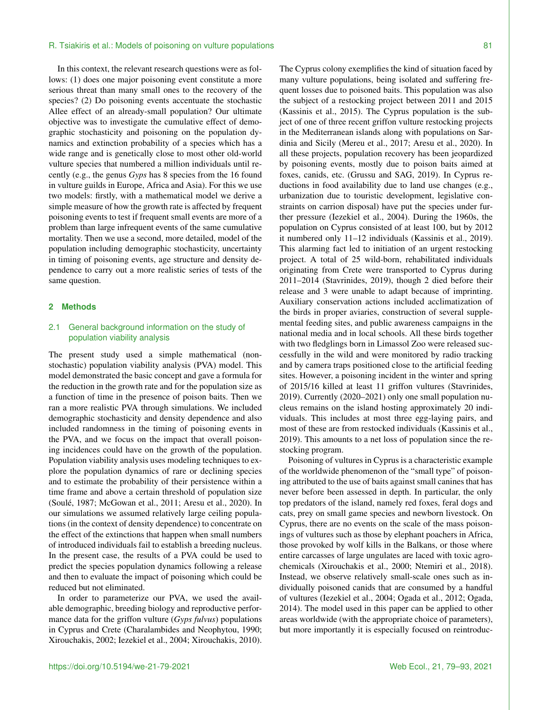### R. Tsiakiris et al.: Models of poisoning on vulture populations **81** All and the state of poisoning on vulture populations **81**

In this context, the relevant research questions were as follows: (1) does one major poisoning event constitute a more serious threat than many small ones to the recovery of the species? (2) Do poisoning events accentuate the stochastic Allee effect of an already-small population? Our ultimate objective was to investigate the cumulative effect of demographic stochasticity and poisoning on the population dynamics and extinction probability of a species which has a wide range and is genetically close to most other old-world vulture species that numbered a million individuals until recently (e.g., the genus *Gyps* has 8 species from the 16 found in vulture guilds in Europe, Africa and Asia). For this we use two models: firstly, with a mathematical model we derive a simple measure of how the growth rate is affected by frequent poisoning events to test if frequent small events are more of a problem than large infrequent events of the same cumulative mortality. Then we use a second, more detailed, model of the population including demographic stochasticity, uncertainty in timing of poisoning events, age structure and density dependence to carry out a more realistic series of tests of the same question.

## **2 Methods**

# 2.1 General background information on the study of population viability analysis

The present study used a simple mathematical (nonstochastic) population viability analysis (PVA) model. This model demonstrated the basic concept and gave a formula for the reduction in the growth rate and for the population size as a function of time in the presence of poison baits. Then we ran a more realistic PVA through simulations. We included demographic stochasticity and density dependence and also included randomness in the timing of poisoning events in the PVA, and we focus on the impact that overall poisoning incidences could have on the growth of the population. Population viability analysis uses modeling techniques to explore the population dynamics of rare or declining species and to estimate the probability of their persistence within a time frame and above a certain threshold of population size (Soulé, 1987; McGowan et al., 2011; Aresu et al., 2020). In our simulations we assumed relatively large ceiling populations (in the context of density dependence) to concentrate on the effect of the extinctions that happen when small numbers of introduced individuals fail to establish a breeding nucleus. In the present case, the results of a PVA could be used to predict the species population dynamics following a release and then to evaluate the impact of poisoning which could be reduced but not eliminated.

In order to parameterize our PVA, we used the available demographic, breeding biology and reproductive performance data for the griffon vulture (*Gyps fulvus*) populations in Cyprus and Crete (Charalambides and Neophytou, 1990; Xirouchakis, 2002; Iezekiel et al., 2004; Xirouchakis, 2010). The Cyprus colony exemplifies the kind of situation faced by many vulture populations, being isolated and suffering frequent losses due to poisoned baits. This population was also the subject of a restocking project between 2011 and 2015 (Kassinis et al., 2015). The Cyprus population is the subject of one of three recent griffon vulture restocking projects in the Mediterranean islands along with populations on Sardinia and Sicily (Mereu et al., 2017; Aresu et al., 2020). In all these projects, population recovery has been jeopardized by poisoning events, mostly due to poison baits aimed at foxes, canids, etc. (Grussu and SAG, 2019). In Cyprus reductions in food availability due to land use changes (e.g., urbanization due to touristic development, legislative constraints on carrion disposal) have put the species under further pressure (Iezekiel et al., 2004). During the 1960s, the population on Cyprus consisted of at least 100, but by 2012 it numbered only 11–12 individuals (Kassinis et al., 2019). This alarming fact led to initiation of an urgent restocking project. A total of 25 wild-born, rehabilitated individuals originating from Crete were transported to Cyprus during 2011–2014 (Stavrinides, 2019), though 2 died before their release and 3 were unable to adapt because of imprinting. Auxiliary conservation actions included acclimatization of the birds in proper aviaries, construction of several supplemental feeding sites, and public awareness campaigns in the national media and in local schools. All these birds together with two fledglings born in Limassol Zoo were released successfully in the wild and were monitored by radio tracking and by camera traps positioned close to the artificial feeding sites. However, a poisoning incident in the winter and spring of 2015/16 killed at least 11 griffon vultures (Stavrinides, 2019). Currently (2020–2021) only one small population nucleus remains on the island hosting approximately 20 individuals. This includes at most three egg-laying pairs, and most of these are from restocked individuals (Kassinis et al., 2019). This amounts to a net loss of population since the restocking program.

Poisoning of vultures in Cyprus is a characteristic example of the worldwide phenomenon of the "small type" of poisoning attributed to the use of baits against small canines that has never before been assessed in depth. In particular, the only top predators of the island, namely red foxes, feral dogs and cats, prey on small game species and newborn livestock. On Cyprus, there are no events on the scale of the mass poisonings of vultures such as those by elephant poachers in Africa, those provoked by wolf kills in the Balkans, or those where entire carcasses of large ungulates are laced with toxic agrochemicals (Xirouchakis et al., 2000; Ntemiri et al., 2018). Instead, we observe relatively small-scale ones such as individually poisoned canids that are consumed by a handful of vultures (Iezekiel et al., 2004; Ogada et al., 2012; Ogada, 2014). The model used in this paper can be applied to other areas worldwide (with the appropriate choice of parameters), but more importantly it is especially focused on reintroduc-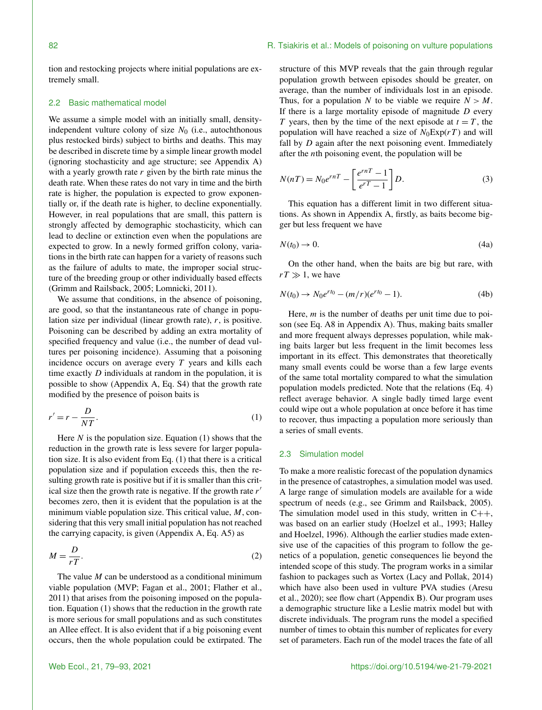## 82 82 **R. Tsiakiris et al.: Models of poisoning on vulture populations**

tion and restocking projects where initial populations are extremely small.

# 2.2 Basic mathematical model

We assume a simple model with an initially small, densityindependent vulture colony of size  $N_0$  (i.e., autochthonous plus restocked birds) subject to births and deaths. This may be described in discrete time by a simple linear growth model (ignoring stochasticity and age structure; see Appendix A) with a yearly growth rate  $r$  given by the birth rate minus the death rate. When these rates do not vary in time and the birth rate is higher, the population is expected to grow exponentially or, if the death rate is higher, to decline exponentially. However, in real populations that are small, this pattern is strongly affected by demographic stochasticity, which can lead to decline or extinction even when the populations are expected to grow. In a newly formed griffon colony, variations in the birth rate can happen for a variety of reasons such as the failure of adults to mate, the improper social structure of the breeding group or other individually based effects (Grimm and Railsback, 2005; Lomnicki, 2011).

We assume that conditions, in the absence of poisoning, are good, so that the instantaneous rate of change in population size per individual (linear growth rate), r, is positive. Poisoning can be described by adding an extra mortality of specified frequency and value (i.e., the number of dead vultures per poisoning incidence). Assuming that a poisoning incidence occurs on average every  $T$  years and kills each time exactly  $D$  individuals at random in the population, it is possible to show (Appendix A, Eq. S4) that the growth rate modified by the presence of poison baits is

$$
r' = r - \frac{D}{NT}.\tag{1}
$$

Here  $N$  is the population size. Equation (1) shows that the reduction in the growth rate is less severe for larger population size. It is also evident from Eq. (1) that there is a critical population size and if population exceeds this, then the resulting growth rate is positive but if it is smaller than this critical size then the growth rate is negative. If the growth rate  $r'$ becomes zero, then it is evident that the population is at the minimum viable population size. This critical value,  $M$ , considering that this very small initial population has not reached the carrying capacity, is given (Appendix A, Eq. A5) as

$$
M = \frac{D}{rT}.\tag{2}
$$

The value  $M$  can be understood as a conditional minimum viable population (MVP; Fagan et al., 2001; Flather et al., 2011) that arises from the poisoning imposed on the population. Equation (1) shows that the reduction in the growth rate is more serious for small populations and as such constitutes an Allee effect. It is also evident that if a big poisoning event occurs, then the whole population could be extirpated. The

structure of this MVP reveals that the gain through regular population growth between episodes should be greater, on average, than the number of individuals lost in an episode. Thus, for a population N to be viable we require  $N > M$ . If there is a large mortality episode of magnitude  $D$  every T years, then by the time of the next episode at  $t = T$ , the population will have reached a size of  $N_0 \text{Exp}(rT)$  and will fall by  $D$  again after the next poisoning event. Immediately after the nth poisoning event, the population will be

$$
N(nT) = N_0 e^{rnT} - \left[\frac{e^{rnT} - 1}{e^{rT} - 1}\right]D.
$$
 (3)

This equation has a different limit in two different situations. As shown in Appendix A, firstly, as baits become bigger but less frequent we have

$$
N(t_0) \to 0. \tag{4a}
$$

On the other hand, when the baits are big but rare, with  $rT \gg 1$ , we have

$$
N(t_0) \to N_0 e^{rt_0} - (m/r)(e^{rt_0} - 1). \tag{4b}
$$

Here,  $m$  is the number of deaths per unit time due to poison (see Eq. A8 in Appendix A). Thus, making baits smaller and more frequent always depresses population, while making baits larger but less frequent in the limit becomes less important in its effect. This demonstrates that theoretically many small events could be worse than a few large events of the same total mortality compared to what the simulation population models predicted. Note that the relations (Eq. 4) reflect average behavior. A single badly timed large event could wipe out a whole population at once before it has time to recover, thus impacting a population more seriously than a series of small events.

## 2.3 Simulation model

To make a more realistic forecast of the population dynamics in the presence of catastrophes, a simulation model was used. A large range of simulation models are available for a wide spectrum of needs (e.g., see Grimm and Railsback, 2005). The simulation model used in this study, written in  $C++$ , was based on an earlier study (Hoelzel et al., 1993; Halley and Hoelzel, 1996). Although the earlier studies made extensive use of the capacities of this program to follow the genetics of a population, genetic consequences lie beyond the intended scope of this study. The program works in a similar fashion to packages such as Vortex (Lacy and Pollak, 2014) which have also been used in vulture PVA studies (Aresu et al., 2020); see flow chart (Appendix B). Our program uses a demographic structure like a Leslie matrix model but with discrete individuals. The program runs the model a specified number of times to obtain this number of replicates for every set of parameters. Each run of the model traces the fate of all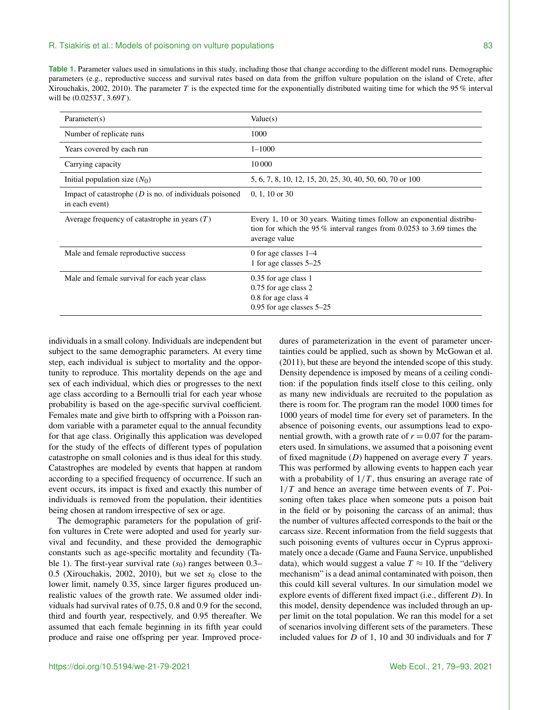**Table 1.** Parameter values used in simulations in this study, including those that change according to the different model runs. Demographic parameters (e.g., reproductive success and survival rates based on data from the griffon vulture population on the island of Crete, after Xirouchakis, 2002, 2010). The parameter T is the expected time for the exponentially distributed waiting time for which the 95 % interval will be  $(0.0253T, 3.69T)$ .

| Parameter(s)                                                                           | Value(s)                                                                                                                                                            |
|----------------------------------------------------------------------------------------|---------------------------------------------------------------------------------------------------------------------------------------------------------------------|
| Number of replicate runs                                                               | 1000                                                                                                                                                                |
| Years covered by each run                                                              | $1 - 1000$                                                                                                                                                          |
| Carrying capacity                                                                      | 10000                                                                                                                                                               |
| Initial population size $(N_0)$                                                        | 5, 6, 7, 8, 10, 12, 15, 20, 25, 30, 40, 50, 60, 70 or 100                                                                                                           |
| Impact of catastrophe $(D \text{ is no. of individuals positioned})$<br>in each event) | $0, 1, 10$ or 30                                                                                                                                                    |
| Average frequency of catastrophe in years $(T)$                                        | Every 1, 10 or 30 years. Waiting times follow an exponential distribu-<br>tion for which the 95 $\%$ interval ranges from 0.0253 to 3.69 times the<br>average value |
| Male and female reproductive success                                                   | 0 for age classes $1-4$<br>1 for age classes 5–25                                                                                                                   |
| Male and female survival for each year class                                           | 0.35 for age class 1<br>0.75 for age class 2<br>0.8 for age class 4<br>$0.95$ for age classes $5-25$                                                                |

individuals in a small colony. Individuals are independent but subject to the same demographic parameters. At every time step, each individual is subject to mortality and the opportunity to reproduce. This mortality depends on the age and sex of each individual, which dies or progresses to the next age class according to a Bernoulli trial for each year whose probability is based on the age-specific survival coefficient. Females mate and give birth to offspring with a Poisson random variable with a parameter equal to the annual fecundity for that age class. Originally this application was developed for the study of the effects of different types of population catastrophe on small colonies and is thus ideal for this study. Catastrophes are modeled by events that happen at random according to a specified frequency of occurrence. If such an event occurs, its impact is fixed and exactly this number of individuals is removed from the population, their identities being chosen at random irrespective of sex or age.

The demographic parameters for the population of griffon vultures in Crete were adopted and used for yearly survival and fecundity, and these provided the demographic constants such as age-specific mortality and fecundity (Table 1). The first-year survival rate  $(s<sub>0</sub>)$  ranges between 0.3– 0.5 (Xirouchakis, 2002, 2010), but we set  $s_0$  close to the lower limit, namely 0.35, since larger figures produced unrealistic values of the growth rate. We assumed older individuals had survival rates of 0.75, 0.8 and 0.9 for the second, third and fourth year, respectively, and 0.95 thereafter. We assumed that each female beginning in its fifth year could produce and raise one offspring per year. Improved procedures of parameterization in the event of parameter uncertainties could be applied, such as shown by McGowan et al. (2011), but these are beyond the intended scope of this study. Density dependence is imposed by means of a ceiling condition: if the population finds itself close to this ceiling, only as many new individuals are recruited to the population as there is room for. The program ran the model 1000 times for 1000 years of model time for every set of parameters. In the absence of poisoning events, our assumptions lead to exponential growth, with a growth rate of  $r = 0.07$  for the parameters used. In simulations, we assumed that a poisoning event of fixed magnitude  $(D)$  happened on average every  $T$  years. This was performed by allowing events to happen each year with a probability of  $1/T$ , thus ensuring an average rate of  $1/T$  and hence an average time between events of T. Poisoning often takes place when someone puts a poison bait in the field or by poisoning the carcass of an animal; thus the number of vultures affected corresponds to the bait or the carcass size. Recent information from the field suggests that such poisoning events of vultures occur in Cyprus approximately once a decade (Game and Fauna Service, unpublished data), which would suggest a value  $T \approx 10$ . If the "delivery" mechanism" is a dead animal contaminated with poison, then this could kill several vultures. In our simulation model we explore events of different fixed impact (i.e., different D). In this model, density dependence was included through an upper limit on the total population. We ran this model for a set of scenarios involving different sets of the parameters. These included values for  $D$  of 1, 10 and 30 individuals and for  $T$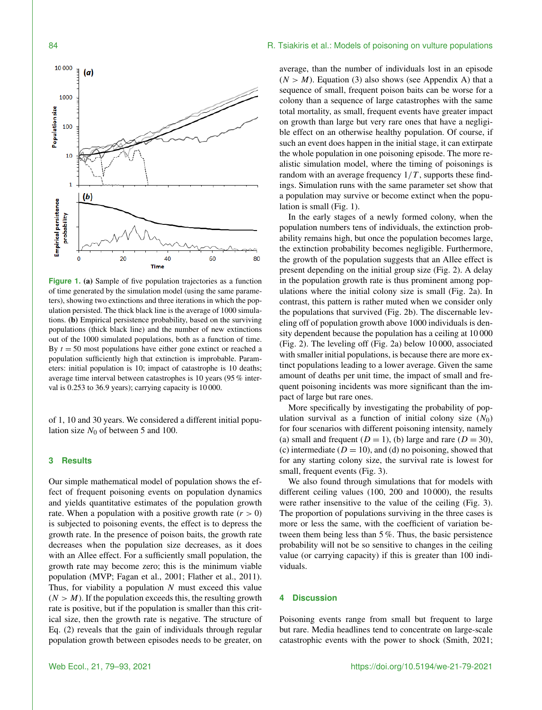



**Figure 1.** (a) Sample of five population trajectories as a function of time generated by the simulation model (using the same parameters), showing two extinctions and three iterations in which the population persisted. The thick black line is the average of 1000 simulations. (b) Empirical persistence probability, based on the surviving populations (thick black line) and the number of new extinctions out of the 1000 simulated populations, both as a function of time. By  $t = 50$  most populations have either gone extinct or reached a population sufficiently high that extinction is improbable. Parameters: initial population is 10; impact of catastrophe is 10 deaths; average time interval between catastrophes is 10 years (95 % interval is 0.253 to 36.9 years); carrying capacity is 10 000.

of 1, 10 and 30 years. We considered a different initial population size  $N_0$  of between 5 and 100.

## **3 Results**

Our simple mathematical model of population shows the effect of frequent poisoning events on population dynamics and yields quantitative estimates of the population growth rate. When a population with a positive growth rate  $(r > 0)$ is subjected to poisoning events, the effect is to depress the growth rate. In the presence of poison baits, the growth rate decreases when the population size decreases, as it does with an Allee effect. For a sufficiently small population, the growth rate may become zero; this is the minimum viable population (MVP; Fagan et al., 2001; Flather et al., 2011). Thus, for viability a population  $N$  must exceed this value  $(N > M)$ . If the population exceeds this, the resulting growth rate is positive, but if the population is smaller than this critical size, then the growth rate is negative. The structure of Eq. (2) reveals that the gain of individuals through regular population growth between episodes needs to be greater, on

average, than the number of individuals lost in an episode  $(N > M)$ . Equation (3) also shows (see Appendix A) that a sequence of small, frequent poison baits can be worse for a colony than a sequence of large catastrophes with the same total mortality, as small, frequent events have greater impact on growth than large but very rare ones that have a negligible effect on an otherwise healthy population. Of course, if such an event does happen in the initial stage, it can extirpate the whole population in one poisoning episode. The more realistic simulation model, where the timing of poisonings is random with an average frequency  $1/T$ , supports these findings. Simulation runs with the same parameter set show that a population may survive or become extinct when the population is small (Fig. 1).

In the early stages of a newly formed colony, when the population numbers tens of individuals, the extinction probability remains high, but once the population becomes large, the extinction probability becomes negligible. Furthermore, the growth of the population suggests that an Allee effect is present depending on the initial group size (Fig. 2). A delay in the population growth rate is thus prominent among populations where the initial colony size is small (Fig. 2a). In contrast, this pattern is rather muted when we consider only the populations that survived (Fig. 2b). The discernable leveling off of population growth above 1000 individuals is density dependent because the population has a ceiling at 10 000 (Fig. 2). The leveling off (Fig. 2a) below 10 000, associated with smaller initial populations, is because there are more extinct populations leading to a lower average. Given the same amount of deaths per unit time, the impact of small and frequent poisoning incidents was more significant than the impact of large but rare ones.

More specifically by investigating the probability of population survival as a function of initial colony size  $(N_0)$ for four scenarios with different poisoning intensity, namely (a) small and frequent  $(D = 1)$ , (b) large and rare  $(D = 30)$ , (c) intermediate ( $D = 10$ ), and (d) no poisoning, showed that for any starting colony size, the survival rate is lowest for small, frequent events (Fig. 3).

We also found through simulations that for models with different ceiling values (100, 200 and 10 000), the results were rather insensitive to the value of the ceiling (Fig. 3). The proportion of populations surviving in the three cases is more or less the same, with the coefficient of variation between them being less than 5 %. Thus, the basic persistence probability will not be so sensitive to changes in the ceiling value (or carrying capacity) if this is greater than 100 individuals.

## **4 Discussion**

Poisoning events range from small but frequent to large but rare. Media headlines tend to concentrate on large-scale catastrophic events with the power to shock (Smith, 2021;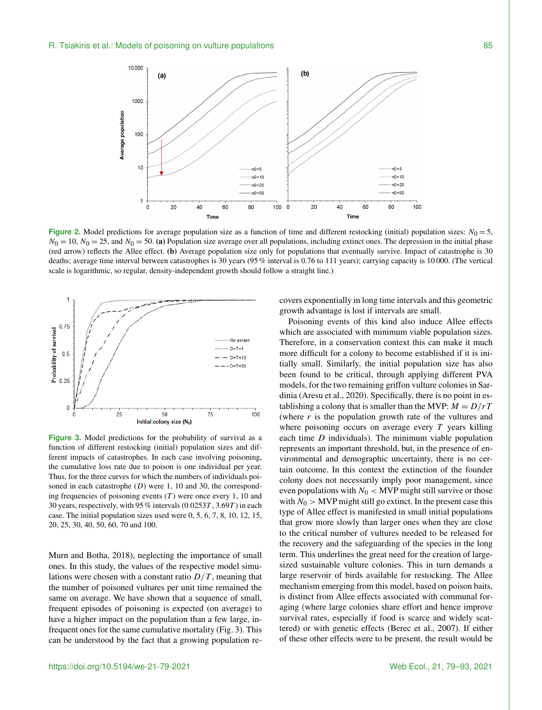

**Figure 2.** Model predictions for average population size as a function of time and different restocking (initial) population sizes:  $N_0 = 5$ ,  $N_0 = 10$ ,  $N_0 = 25$ , and  $N_0 = 50$ . (a) Population size average over all populations, including extinct ones. The depression in the initial phase (red arrow) reflects the Allee effect. (b) Average population size only for populations that eventually survive. Impact of catastrophe is 30 deaths; average time interval between catastrophes is 30 years (95 % interval is 0.76 to 111 years); carrying capacity is 10 000. (The vertical scale is logarithmic, so regular, density-independent growth should follow a straight line.)



**Figure 3.** Model predictions for the probability of survival as a function of different restocking (initial) population sizes and different impacts of catastrophes. In each case involving poisoning, the cumulative loss rate due to poison is one individual per year. Thus, for the three curves for which the numbers of individuals poisoned in each catastrophe  $(D)$  were 1, 10 and 30, the corresponding frequencies of poisoning events  $(T)$  were once every 1, 10 and 30 years, respectively, with 95 % intervals  $(0.0253T, 3.69T)$  in each case. The initial population sizes used were 0, 5, 6, 7, 8, 10, 12, 15, 20, 25, 30, 40, 50, 60, 70 and 100.

Murn and Botha, 2018), neglecting the importance of small ones. In this study, the values of the respective model simulations were chosen with a constant ratio  $D/T$ , meaning that the number of poisoned vultures per unit time remained the same on average. We have shown that a sequence of small, frequent episodes of poisoning is expected (on average) to have a higher impact on the population than a few large, infrequent ones for the same cumulative mortality (Fig. 3). This can be understood by the fact that a growing population recovers exponentially in long time intervals and this geometric growth advantage is lost if intervals are small.

Poisoning events of this kind also induce Allee effects which are associated with minimum viable population sizes. Therefore, in a conservation context this can make it much more difficult for a colony to become established if it is initially small. Similarly, the initial population size has also been found to be critical, through applying different PVA models, for the two remaining griffon vulture colonies in Sardinia (Aresu et al., 2020). Specifically, there is no point in establishing a colony that is smaller than the MVP:  $M = D/rT$ (where  $r$  is the population growth rate of the vultures and where poisoning occurs on average every  $T$  years killing each time  $D$  individuals). The minimum viable population represents an important threshold, but, in the presence of environmental and demographic uncertainty, there is no certain outcome. In this context the extinction of the founder colony does not necessarily imply poor management, since even populations with  $N_0$  < MVP might still survive or those with  $N_0$  > MVP might still go extinct. In the present case this type of Allee effect is manifested in small initial populations that grow more slowly than larger ones when they are close to the critical number of vultures needed to be released for the recovery and the safeguarding of the species in the long term. This underlines the great need for the creation of largesized sustainable vulture colonies. This in turn demands a large reservoir of birds available for restocking. The Allee mechanism emerging from this model, based on poison baits, is distinct from Allee effects associated with communal foraging (where large colonies share effort and hence improve survival rates, especially if food is scarce and widely scattered) or with genetic effects (Berec et al., 2007). If either of these other effects were to be present, the result would be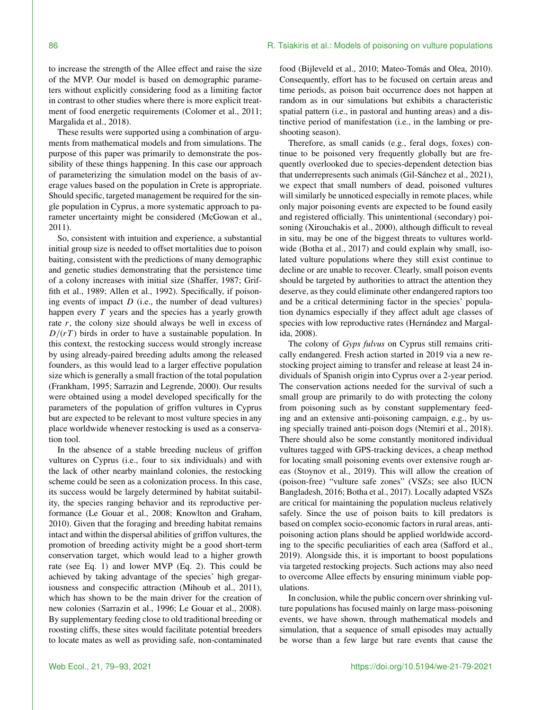to increase the strength of the Allee effect and raise the size of the MVP. Our model is based on demographic parameters without explicitly considering food as a limiting factor in contrast to other studies where there is more explicit treatment of food energetic requirements (Colomer et al., 2011; Margalida et al., 2018).

These results were supported using a combination of arguments from mathematical models and from simulations. The purpose of this paper was primarily to demonstrate the possibility of these things happening. In this case our approach of parameterizing the simulation model on the basis of average values based on the population in Crete is appropriate. Should specific, targeted management be required for the single population in Cyprus, a more systematic approach to parameter uncertainty might be considered (McGowan et al., 2011).

So, consistent with intuition and experience, a substantial initial group size is needed to offset mortalities due to poison baiting, consistent with the predictions of many demographic and genetic studies demonstrating that the persistence time of a colony increases with initial size (Shaffer, 1987; Griffith et al., 1989; Allen et al., 1992). Specifically, if poisoning events of impact  $D$  (i.e., the number of dead vultures) happen every  $T$  years and the species has a yearly growth rate  $r$ , the colony size should always be well in excess of  $D/(rT)$  birds in order to have a sustainable population. In this context, the restocking success would strongly increase by using already-paired breeding adults among the released founders, as this would lead to a larger effective population size which is generally a small fraction of the total population (Frankham, 1995; Sarrazin and Legrende, 2000). Our results were obtained using a model developed specifically for the parameters of the population of griffon vultures in Cyprus but are expected to be relevant to most vulture species in any place worldwide whenever restocking is used as a conservation tool.

In the absence of a stable breeding nucleus of griffon vultures on Cyprus (i.e., four to six individuals) and with the lack of other nearby mainland colonies, the restocking scheme could be seen as a colonization process. In this case, its success would be largely determined by habitat suitability, the species ranging behavior and its reproductive performance (Le Gouar et al., 2008; Knowlton and Graham, 2010). Given that the foraging and breeding habitat remains intact and within the dispersal abilities of griffon vultures, the promotion of breeding activity might be a good short-term conservation target, which would lead to a higher growth rate (see Eq. 1) and lower MVP (Eq. 2). This could be achieved by taking advantage of the species' high gregariousness and conspecific attraction (Mihoub et al., 2011), which has shown to be the main driver for the creation of new colonies (Sarrazin et al., 1996; Le Gouar et al., 2008). By supplementary feeding close to old traditional breeding or roosting cliffs, these sites would facilitate potential breeders to locate mates as well as providing safe, non-contaminated

food (Bijleveld et al., 2010; Mateo-Tomás and Olea, 2010). Consequently, effort has to be focused on certain areas and time periods, as poison bait occurrence does not happen at random as in our simulations but exhibits a characteristic spatial pattern (i.e., in pastoral and hunting areas) and a distinctive period of manifestation (i.e., in the lambing or preshooting season).

Therefore, as small canids (e.g., feral dogs, foxes) continue to be poisoned very frequently globally but are frequently overlooked due to species-dependent detection bias that underrepresents such animals (Gil-Sánchez et al., 2021), we expect that small numbers of dead, poisoned vultures will similarly be unnoticed especially in remote places, while only major poisoning events are expected to be found easily and registered officially. This unintentional (secondary) poisoning (Xirouchakis et al., 2000), although difficult to reveal in situ, may be one of the biggest threats to vultures worldwide (Botha et al., 2017) and could explain why small, isolated vulture populations where they still exist continue to decline or are unable to recover. Clearly, small poison events should be targeted by authorities to attract the attention they deserve, as they could eliminate other endangered raptors too and be a critical determining factor in the species' population dynamics especially if they affect adult age classes of species with low reproductive rates (Hernández and Margalida, 2008).

The colony of *Gyps fulvus* on Cyprus still remains critically endangered. Fresh action started in 2019 via a new restocking project aiming to transfer and release at least 24 individuals of Spanish origin into Cyprus over a 2-year period. The conservation actions needed for the survival of such a small group are primarily to do with protecting the colony from poisoning such as by constant supplementary feeding and an extensive anti-poisoning campaign, e.g., by using specially trained anti-poison dogs (Ntemiri et al., 2018). There should also be some constantly monitored individual vultures tagged with GPS-tracking devices, a cheap method for locating small poisoning events over extensive rough areas (Stoynov et al., 2019). This will allow the creation of (poison-free) "vulture safe zones" (VSZs; see also IUCN Bangladesh, 2016; Botha et al., 2017). Locally adapted VSZs are critical for maintaining the population nucleus relatively safely. Since the use of poison baits to kill predators is based on complex socio-economic factors in rural areas, antipoisoning action plans should be applied worldwide according to the specific peculiarities of each area (Safford et al., 2019). Alongside this, it is important to boost populations via targeted restocking projects. Such actions may also need to overcome Allee effects by ensuring minimum viable populations.

In conclusion, while the public concern over shrinking vulture populations has focused mainly on large mass-poisoning events, we have shown, through mathematical models and simulation, that a sequence of small episodes may actually be worse than a few large but rare events that cause the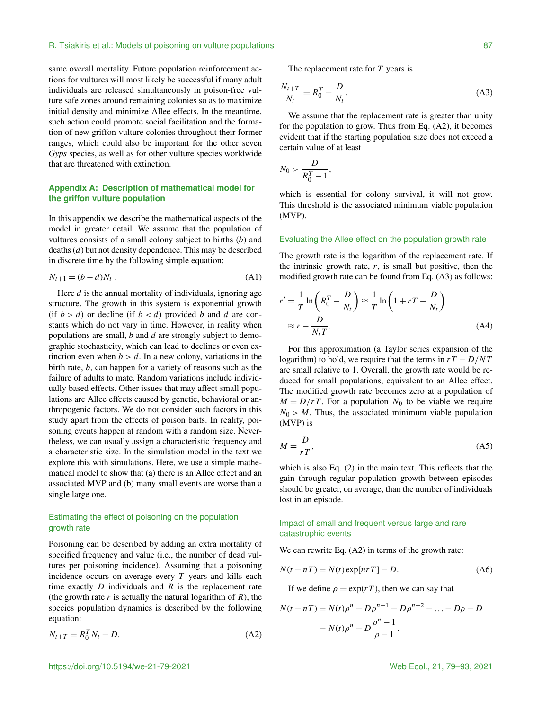same overall mortality. Future population reinforcement actions for vultures will most likely be successful if many adult individuals are released simultaneously in poison-free vulture safe zones around remaining colonies so as to maximize initial density and minimize Allee effects. In the meantime, such action could promote social facilitation and the formation of new griffon vulture colonies throughout their former ranges, which could also be important for the other seven *Gyps* species, as well as for other vulture species worldwide that are threatened with extinction.

# **Appendix A: Description of mathematical model for the griffon vulture population**

In this appendix we describe the mathematical aspects of the model in greater detail. We assume that the population of vultures consists of a small colony subject to births  $(b)$  and deaths (d) but not density dependence. This may be described in discrete time by the following simple equation:

$$
N_{t+1} = (b - d)N_t .
$$
 (A1)

Here  $d$  is the annual mortality of individuals, ignoring age structure. The growth in this system is exponential growth (if  $b > d$ ) or decline (if  $b < d$ ) provided b and d are constants which do not vary in time. However, in reality when populations are small,  $b$  and  $d$  are strongly subject to demographic stochasticity, which can lead to declines or even extinction even when  $b > d$ . In a new colony, variations in the birth rate, b, can happen for a variety of reasons such as the failure of adults to mate. Random variations include individually based effects. Other issues that may affect small populations are Allee effects caused by genetic, behavioral or anthropogenic factors. We do not consider such factors in this study apart from the effects of poison baits. In reality, poisoning events happen at random with a random size. Nevertheless, we can usually assign a characteristic frequency and a characteristic size. In the simulation model in the text we explore this with simulations. Here, we use a simple mathematical model to show that (a) there is an Allee effect and an associated MVP and (b) many small events are worse than a single large one.

## Estimating the effect of poisoning on the population growth rate

Poisoning can be described by adding an extra mortality of specified frequency and value (i.e., the number of dead vultures per poisoning incidence). Assuming that a poisoning incidence occurs on average every  $T$  years and kills each time exactly  $D$  individuals and  $R$  is the replacement rate (the growth rate  $r$  is actually the natural logarithm of  $R$ ), the species population dynamics is described by the following equation:

$$
N_{t+T} = R_0^T N_t - D. \tag{A2}
$$

The replacement rate for  $T$  years is

$$
\frac{N_{t+T}}{N_t} = R_0^T - \frac{D}{N_t}.\tag{A3}
$$

We assume that the replacement rate is greater than unity for the population to grow. Thus from Eq. (A2), it becomes evident that if the starting population size does not exceed a certain value of at least

$$
N_0 > \frac{D}{R_0^T - 1},
$$

which is essential for colony survival, it will not grow. This threshold is the associated minimum viable population (MVP).

## Evaluating the Allee effect on the population growth rate

The growth rate is the logarithm of the replacement rate. If the intrinsic growth rate,  $r$ , is small but positive, then the modified growth rate can be found from Eq. (A3) as follows:

$$
r' = \frac{1}{T} \ln \left( R_0^T - \frac{D}{N_t} \right) \approx \frac{1}{T} \ln \left( 1 + rT - \frac{D}{N_t} \right)
$$
  

$$
\approx r - \frac{D}{N_t T}.
$$
 (A4)

For this approximation (a Taylor series expansion of the logarithm) to hold, we require that the terms in  $rT - D/NT$ are small relative to 1. Overall, the growth rate would be reduced for small populations, equivalent to an Allee effect. The modified growth rate becomes zero at a population of  $M = D/rT$ . For a population  $N_0$  to be viable we require  $N_0 > M$ . Thus, the associated minimum viable population (MVP) is

$$
M = \frac{D}{rT},\tag{A5}
$$

which is also Eq. (2) in the main text. This reflects that the gain through regular population growth between episodes should be greater, on average, than the number of individuals lost in an episode.

## Impact of small and frequent versus large and rare catastrophic events

We can rewrite Eq.  $(A2)$  in terms of the growth rate:

$$
N(t + nT) = N(t) \exp[n rT] - D.
$$
 (A6)

If we define  $\rho = \exp(rT)$ , then we can say that

$$
N(t + nT) = N(t)\rho^{n} - D\rho^{n-1} - D\rho^{n-2} - \dots - D\rho - D
$$
  
=  $N(t)\rho^{n} - D\frac{\rho^{n} - 1}{\rho - 1}.$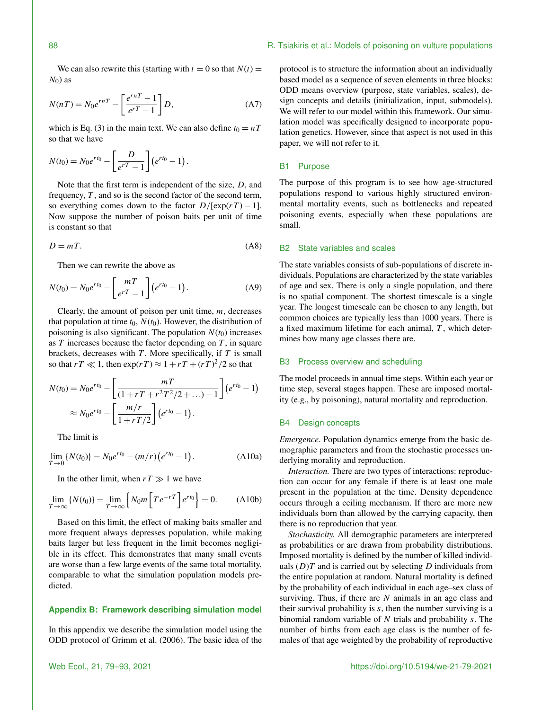We can also rewrite this (starting with  $t = 0$  so that  $N(t) =$  $N_0$ ) as

$$
N(nT) = N_0 e^{rnT} - \left[\frac{e^{rnT} - 1}{e^{rT} - 1}\right]D,\tag{A7}
$$

which is Eq. (3) in the main text. We can also define  $t_0 = nT$ so that we have

$$
N(t_0) = N_0 e^{rt_0} - \left[\frac{D}{e^{rT}-1}\right] (e^{rt_0}-1).
$$

Note that the first term is independent of the size, D, and frequency,  $T$ , and so is the second factor of the second term, so everything comes down to the factor  $D/[\exp(rT) - 1]$ . Now suppose the number of poison baits per unit of time is constant so that

$$
D = mT.\t\t(A8)
$$

Then we can rewrite the above as

$$
N(t_0) = N_0 e^{rt_0} - \left[\frac{mT}{e^{rT} - 1}\right] (e^{rt_0} - 1).
$$
 (A9)

Clearly, the amount of poison per unit time,  $m$ , decreases that population at time  $t_0$ ,  $N(t_0)$ . However, the distribution of poisoning is also significant. The population  $N(t_0)$  increases as  $T$  increases because the factor depending on  $T$ , in square brackets, decreases with  $T$ . More specifically, if  $T$  is small so that  $rT \ll 1$ , then  $\exp(rT) \approx 1 + rT + (rT)^2/2$  so that

$$
N(t_0) = N_0 e^{rt_0} - \left[ \frac{mT}{(1 + rT + r^2T^2/2 + ...) - 1} \right] (e^{rt_0} - 1)
$$
  
 
$$
\approx N_0 e^{rt_0} - \left[ \frac{m/r}{1 + rT/2} \right] (e^{rt_0} - 1).
$$

The limit is

$$
\lim_{T \to 0} \{ N(t_0) \} = N_0 e^{rt_0} - (m/r) \left( e^{rt_0} - 1 \right). \tag{A10a}
$$

In the other limit, when  $rT \gg 1$  we have

$$
\lim_{T \to \infty} \{N(t_0)\} = \lim_{T \to \infty} \left\{ N_0 m \left[ T e^{-rT} \right] e^{rt_0} \right\} = 0. \tag{A10b}
$$

Based on this limit, the effect of making baits smaller and more frequent always depresses population, while making baits larger but less frequent in the limit becomes negligible in its effect. This demonstrates that many small events are worse than a few large events of the same total mortality, comparable to what the simulation population models predicted.

## **Appendix B: Framework describing simulation model**

In this appendix we describe the simulation model using the ODD protocol of Grimm et al. (2006). The basic idea of the protocol is to structure the information about an individually based model as a sequence of seven elements in three blocks: ODD means overview (purpose, state variables, scales), design concepts and details (initialization, input, submodels). We will refer to our model within this framework. Our simulation model was specifically designed to incorporate population genetics. However, since that aspect is not used in this paper, we will not refer to it.

## B1 Purpose

The purpose of this program is to see how age-structured populations respond to various highly structured environmental mortality events, such as bottlenecks and repeated poisoning events, especially when these populations are small.

#### B2 State variables and scales

The state variables consists of sub-populations of discrete individuals. Populations are characterized by the state variables of age and sex. There is only a single population, and there is no spatial component. The shortest timescale is a single year. The longest timescale can be chosen to any length, but common choices are typically less than 1000 years. There is a fixed maximum lifetime for each animal,  $T$ , which determines how many age classes there are.

## B3 Process overview and scheduling

The model proceeds in annual time steps. Within each year or time step, several stages happen. These are imposed mortality (e.g., by poisoning), natural mortality and reproduction.

# B4 Design concepts

*Emergence.* Population dynamics emerge from the basic demographic parameters and from the stochastic processes underlying morality and reproduction.

*Interaction.* There are two types of interactions: reproduction can occur for any female if there is at least one male present in the population at the time. Density dependence occurs through a ceiling mechanism. If there are more new individuals born than allowed by the carrying capacity, then there is no reproduction that year.

*Stochasticity.* All demographic parameters are interpreted as probabilities or are drawn from probability distributions. Imposed mortality is defined by the number of killed individuals  $(D)T$  and is carried out by selecting D individuals from the entire population at random. Natural mortality is defined by the probability of each individual in each age–sex class of surviving. Thus, if there are  $N$  animals in an age class and their survival probability is  $s$ , then the number surviving is a binomial random variable of  $N$  trials and probability  $s$ . The number of births from each age class is the number of females of that age weighted by the probability of reproductive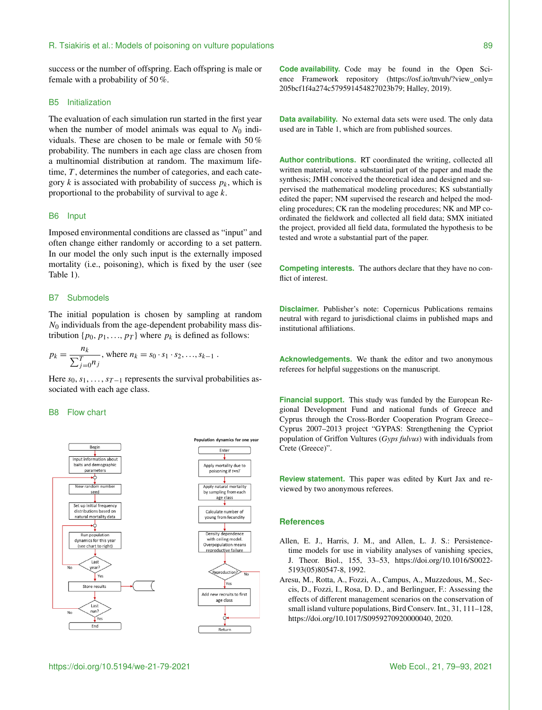success or the number of offspring. Each offspring is male or female with a probability of 50 %.

## B5 Initialization

The evaluation of each simulation run started in the first year when the number of model animals was equal to  $N_0$  individuals. These are chosen to be male or female with 50 % probability. The numbers in each age class are chosen from a multinomial distribution at random. The maximum lifetime,  $T$ , determines the number of categories, and each category k is associated with probability of success  $p_k$ , which is proportional to the probability of survival to age  $k$ .

## B6 Input

Imposed environmental conditions are classed as "input" and often change either randomly or according to a set pattern. In our model the only such input is the externally imposed mortality (i.e., poisoning), which is fixed by the user (see Table 1).

## B7 Submodels

The initial population is chosen by sampling at random  $N_0$  individuals from the age-dependent probability mass distribution  $\{p_0, p_1, \ldots, p_T\}$  where  $p_k$  is defined as follows:

$$
p_k = \frac{n_k}{\sum_{j=0}^T n_j}, \text{ where } n_k = s_0 \cdot s_1 \cdot s_2, \dots, s_{k-1} .
$$

Here  $s_0, s_1, \ldots, s_{T-1}$  represents the survival probabilities associated with each age class.

## B8 Flow chart





**Code availability.** Code may be found in the Open Science Framework repository [\(https://osf.io/tnvuh/?view\\_only=](https://osf.io/tnvuh/?view_only=205bcf1f4a274c579591454827023b79) [205bcf1f4a274c579591454827023b79;](https://osf.io/tnvuh/?view_only=205bcf1f4a274c579591454827023b79) Halley, 2019).

**Data availability.** No external data sets were used. The only data used are in Table 1, which are from published sources.

**Author contributions.** RT coordinated the writing, collected all written material, wrote a substantial part of the paper and made the synthesis; JMH conceived the theoretical idea and designed and supervised the mathematical modeling procedures; KS substantially edited the paper; NM supervised the research and helped the modeling procedures; CK ran the modeling procedures; NK and MP coordinated the fieldwork and collected all field data; SMX initiated the project, provided all field data, formulated the hypothesis to be tested and wrote a substantial part of the paper.

**Competing interests.** The authors declare that they have no conflict of interest.

**Disclaimer.** Publisher's note: Copernicus Publications remains neutral with regard to jurisdictional claims in published maps and institutional affiliations.

**Acknowledgements.** We thank the editor and two anonymous referees for helpful suggestions on the manuscript.

**Financial support.** This study was funded by the European Regional Development Fund and national funds of Greece and Cyprus through the Cross-Border Cooperation Program Greece– Cyprus 2007–2013 project "GYPAS: Strengthening the Cypriot population of Griffon Vultures (*Gyps fulvus*) with individuals from Crete (Greece)".

**Review statement.** This paper was edited by Kurt Jax and reviewed by two anonymous referees.

## **References**

- Allen, E. J., Harris, J. M., and Allen, L. J. S.: Persistencetime models for use in viability analyses of vanishing species, J. Theor. Biol., 155, 33–53, https://doi.org[/10.1016/S0022-](https://doi.org/10.1016/S0022-5193(05)80547-8) [5193\(05\)80547-8,](https://doi.org/10.1016/S0022-5193(05)80547-8) 1992.
- Aresu, M., Rotta, A., Fozzi, A., Campus, A., Muzzedous, M., Seccis, D., Fozzi, I., Rosa, D. D., and Berlinguer, F.: Assessing the effects of different management scenarios on the conservation of small island vulture populations, Bird Conserv. Int., 31, 111–128, https://doi.org[/10.1017/S0959270920000040,](https://doi.org/10.1017/S0959270920000040) 2020.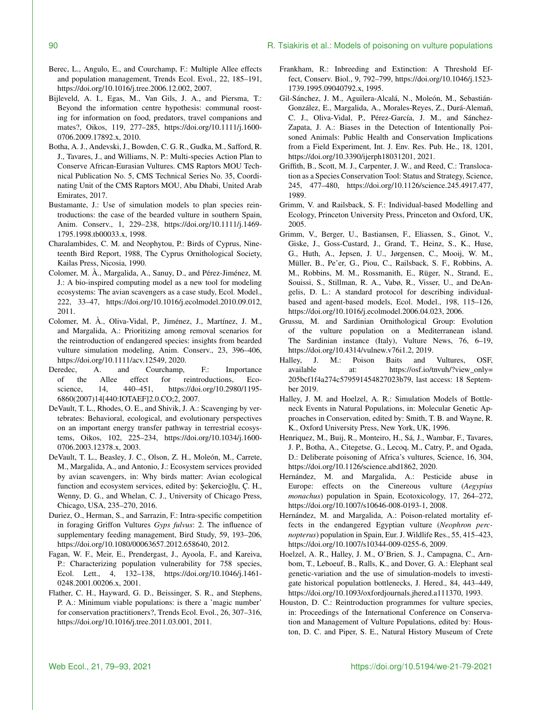#### 90 R. Tsiakiris et al.: Models of poisoning on vulture populations

- Berec, L., Angulo, E., and Courchamp, F.: Multiple Allee effects and population management, Trends Ecol. Evol., 22, 185–191, https://doi.org[/10.1016/j.tree.2006.12.002,](https://doi.org/10.1016/j.tree.2006.12.002) 2007.
- Bijleveld, A. I., Egas, M., Van Gils, J. A., and Piersma, T.: Beyond the information centre hypothesis: communal roosting for information on food, predators, travel companions and mates?, Oikos, 119, 277–285, https://doi.org[/10.1111/j.1600-](https://doi.org/10.1111/j.1600-0706.2009.17892.x) [0706.2009.17892.x,](https://doi.org/10.1111/j.1600-0706.2009.17892.x) 2010.
- Botha, A. J., Andevski, J., Bowden, C. G. R., Gudka, M., Safford, R. J., Tavares, J., and Williams, N. P.: Multi-species Action Plan to Conserve African-Eurasian Vultures. CMS Raptors MOU Technical Publication No. 5, CMS Technical Series No. 35, Coordinating Unit of the CMS Raptors MOU, Abu Dhabi, United Arab Emirates, 2017.
- Bustamante, J.: Use of simulation models to plan species reintroductions: the case of the bearded vulture in southern Spain, Anim. Conserv., 1, 229–238, https://doi.org[/10.1111/j.1469-](https://doi.org/10.1111/j.1469-1795.1998.tb00033.x) [1795.1998.tb00033.x,](https://doi.org/10.1111/j.1469-1795.1998.tb00033.x) 1998.
- Charalambides, C. M. and Neophytou, P.: Birds of Cyprus, Nineteenth Bird Report, 1988, The Cyprus Ornithological Society, Kailas Press, Nicosia, 1990.
- Colomer, M. À., Margalida, A., Sanuy, D., and Pérez-Jiménez, M. J.: A bio-inspired computing model as a new tool for modeling ecosystems: The avian scavengers as a case study, Ecol. Model., 222, 33–47, https://doi.org[/10.1016/j.ecolmodel.2010.09.012,](https://doi.org/10.1016/j.ecolmodel.2010.09.012) 2011.
- Colomer, M. À., Oliva-Vidal, P., Jiménez, J., Martínez, J. M., and Margalida, A.: Prioritizing among removal scenarios for the reintroduction of endangered species: insights from bearded vulture simulation modeling, Anim. Conserv., 23, 396–406, https://doi.org[/10.1111/acv.12549,](https://doi.org/10.1111/acv.12549) 2020.
- Deredec, A. and Courchamp, F.: Importance of the Allee effect for reintroductions, Ecoscience, 14, 440–451, https://doi.org[/10.2980/1195-](https://doi.org/10.2980/1195-6860(2007)14[440:IOTAEF]2.0.CO;2) [6860\(2007\)14\[440:IOTAEF\]2.0.CO;2,](https://doi.org/10.2980/1195-6860(2007)14[440:IOTAEF]2.0.CO;2) 2007.
- DeVault, T. L., Rhodes, O. E., and Shivik, J. A.: Scavenging by vertebrates: Behavioral, ecological, and evolutionary perspectives on an important energy transfer pathway in terrestrial ecosystems, Oikos, 102, 225–234, https://doi.org[/10.1034/j.1600-](https://doi.org/10.1034/j.1600-0706.2003.12378.x) [0706.2003.12378.x,](https://doi.org/10.1034/j.1600-0706.2003.12378.x) 2003.
- DeVault, T. L., Beasley, J. C., Olson, Z. H., Moleón, M., Carrete, M., Margalida, A., and Antonio, J.: Ecosystem services provided by avian scavengers, in: Why birds matter: Avian ecological function and ecosystem services, edited by: Şekercioğlu, Ç. H., Wenny, D. G., and Whelan, C. J., University of Chicago Press, Chicago, USA, 235–270, 2016.
- Duriez, O., Herman, S., and Sarrazin, F.: Intra-specific competition in foraging Griffon Vultures *Gyps fulvus*: 2. The influence of supplementary feeding management, Bird Study, 59, 193–206, https://doi.org[/10.1080/00063657.2012.658640,](https://doi.org/10.1080/00063657.2012.658640) 2012.
- Fagan, W. F., Meir, E., Prendergast, J., Ayoola, F., and Kareiva, P.: Characterizing population vulnerability for 758 species, Ecol. Lett., 4, 132–138, https://doi.org[/10.1046/j.1461-](https://doi.org/10.1046/j.1461-0248.2001.00206.x) [0248.2001.00206.x,](https://doi.org/10.1046/j.1461-0248.2001.00206.x) 2001.
- Flather, C. H., Hayward, G. D., Beissinger, S. R., and Stephens, P. A.: Minimum viable populations: is there a 'magic number' for conservation practitioners?, Trends Ecol. Evol., 26, 307–316, https://doi.org[/10.1016/j.tree.2011.03.001,](https://doi.org/10.1016/j.tree.2011.03.001) 2011.
- Frankham, R.: Inbreeding and Extinction: A Threshold Effect, Conserv. Biol., 9, 792–799, https://doi.org[/10.1046/j.1523-](https://doi.org/10.1046/j.1523-1739.1995.09040792.x) [1739.1995.09040792.x,](https://doi.org/10.1046/j.1523-1739.1995.09040792.x) 1995.
- Gil-Sánchez, J. M., Aguilera-Alcalá, N., Moleón, M., Sebastián-González, E., Margalida, A., Morales-Reyes, Z., Durá-Alemañ, C. J., Oliva-Vidal, P., Pérez-García, J. M., and Sánchez-Zapata, J. A.: Biases in the Detection of Intentionally Poisoned Animals: Public Health and Conservation Implications from a Field Experiment, Int. J. Env. Res. Pub. He., 18, 1201, https://doi.org[/10.3390/ijerph18031201,](https://doi.org/10.3390/ijerph18031201) 2021.
- Griffith, B., Scott, M. J., Carpenter, J. W., and Reed, C.: Translocation as a Species Conservation Tool: Status and Strategy, Science, 245, 477–480, https://doi.org[/10.1126/science.245.4917.477,](https://doi.org/10.1126/science.245.4917.477) 1989.
- Grimm, V. and Railsback, S. F.: Individual-based Modelling and Ecology, Princeton University Press, Princeton and Oxford, UK, 2005.
- Grimm, V., Berger, U., Bastiansen, F., Eliassen, S., Ginot, V., Giske, J., Goss-Custard, J., Grand, T., Heinz, S., K., Huse, G., Huth, A., Jepsen, J. U., Jørgensen, C., Mooij, W. M., Müller, B., Pe'er, G., Piou, C., Railsback, S. F., Robbins, A. M., Robbins, M. M., Rossmanith, E., Rüger, N., Strand, E., Souissi, S., Stillman, R. A., Vabø, R., Visser, U., and DeAngelis, D. L.: A standard protocol for describing individualbased and agent-based models, Ecol. Model., 198, 115–126, https://doi.org[/10.1016/j.ecolmodel.2006.04.023,](https://doi.org/10.1016/j.ecolmodel.2006.04.023) 2006.
- Grussu, M. and Sardinian Ornithological Group: Evolution of the vulture population on a Mediterranean island. The Sardinian instance (Italy), Vulture News, 76, 6–19, https://doi.org[/10.4314/vulnew.v76i1.2,](https://doi.org/10.4314/vulnew.v76i1.2) 2019.
- Halley, J. M.: Poison Baits and Vultures, OSF, available at: [https://osf.io/tnvuh/?view\\_only=](https://osf.io/tnvuh/?view_only=205bcf1f4a274c579591454827023b79) [205bcf1f4a274c579591454827023b79,](https://osf.io/tnvuh/?view_only=205bcf1f4a274c579591454827023b79) last access: 18 September 2019.
- Halley, J. M. and Hoelzel, A. R.: Simulation Models of Bottleneck Events in Natural Populations, in: Molecular Genetic Approaches in Conservation, edited by: Smith, T. B. and Wayne, R. K., Oxford University Press, New York, UK, 1996.
- Henriquez, M., Buij, R., Monteiro, H., Sá, J., Wambar, F., Tavares, J. P., Botha, A., Citegetse, G., Lecoq, M., Catry, P., and Ogada, D.: Deliberate poisoning of Africa's vultures, Science, 16, 304, https://doi.org[/10.1126/science.abd1862,](https://doi.org/10.1126/science.abd1862) 2020.
- Hernández, M. and Margalida, A.: Pesticide abuse in Europe: effects on the Cinereous vulture (*Aegypius monachus*) population in Spain, Ecotoxicology, 17, 264–272, https://doi.org[/10.1007/s10646-008-0193-1,](https://doi.org/10.1007/s10646-008-0193-1) 2008.
- Hernández, M. and Margalida, A.: Poison-related mortality effects in the endangered Egyptian vulture (*Neophron percnopterus*) population in Spain, Eur. J. Wildlife Res., 55, 415–423, https://doi.org[/10.1007/s10344-009-0255-6,](https://doi.org/10.1007/s10344-009-0255-6) 2009.
- Hoelzel, A. R., Halley, J. M., O'Brien, S. J., Campagna, C., Arnbom, T., Leboeuf, B., Ralls, K., and Dover, G. A.: Elephant seal genetic-variation and the use of simulation-models to investigate historical population bottlenecks, J. Hered., 84, 443–449, https://doi.org[/10.1093/oxfordjournals.jhered.a111370,](https://doi.org/10.1093/oxfordjournals.jhered.a111370) 1993.
- Houston, D. C.: Reintroduction programmes for vulture species, in: Proceedings of the International Conference on Conservation and Management of Vulture Populations, edited by: Houston, D. C. and Piper, S. E., Natural History Museum of Crete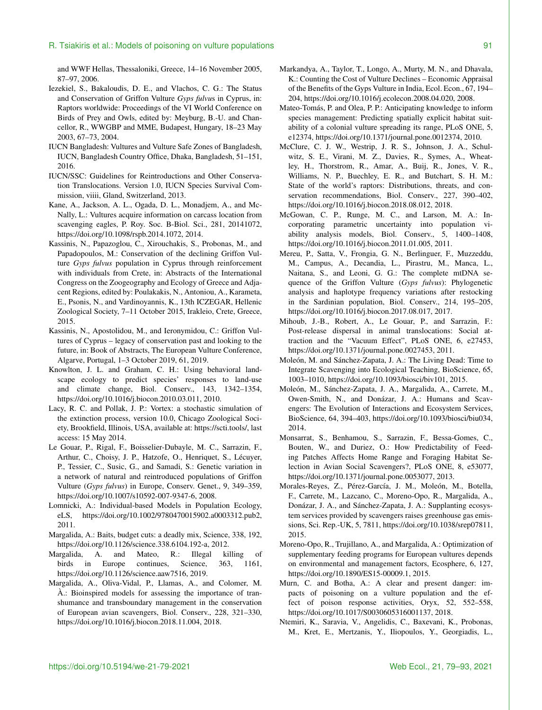and WWF Hellas, Thessaloniki, Greece, 14–16 November 2005, 87–97, 2006.

- Iezekiel, S., Bakaloudis, D. E., and Vlachos, C. G.: The Status and Conservation of Griffon Vulture *Gyps fulvu*s in Cyprus, in: Raptors worldwide: Proceedings of the VI World Conference on Birds of Prey and Owls, edited by: Meyburg, B.-U. and Chancellor, R., WWGBP and MME, Budapest, Hungary, 18–23 May 2003, 67–73, 2004.
- IUCN Bangladesh: Vultures and Vulture Safe Zones of Bangladesh, IUCN, Bangladesh Country Office, Dhaka, Bangladesh, 51–151, 2016.
- IUCN/SSC: Guidelines for Reintroductions and Other Conservation Translocations. Version 1.0, IUCN Species Survival Commission, viiii, Gland, Switzerland, 2013.
- Kane, A., Jackson, A. L., Ogada, D. L., Monadjem, A., and Mc-Nally, L.: Vultures acquire information on carcass location from scavenging eagles, P. Roy. Soc. B-Biol. Sci., 281, 20141072, https://doi.org[/10.1098/rspb.2014.1072,](https://doi.org/10.1098/rspb.2014.1072) 2014.
- Kassinis, N., Papazoglou, C., Xirouchakis, S., Probonas, M., and Papadopoulos, M.: Conservation of the declining Griffon Vulture *Gyps fulvus* population in Cyprus through reinforcement with individuals from Crete, in: Abstracts of the International Congress on the Zoogeography and Ecology of Greece and Adjacent Regions, edited by: Poulakakis, N., Antoniou, A., Karameta, E., Psonis, N., and Vardinoyannis, K., 13th ICZEGAR, Hellenic Zoological Society, 7–11 October 2015, Irakleio, Crete, Greece, 2015.
- Kassinis, N., Apostolidou, M., and Ieronymidou, C.: Griffon Vultures of Cyprus – legacy of conservation past and looking to the future, in: Book of Abstracts, The European Vulture Conference, Algarve, Portugal, 1–3 October 2019, 61, 2019.
- Knowlton, J. L. and Graham, C. H.: Using behavioral landscape ecology to predict species' responses to land-use and climate change, Biol. Conserv., 143, 1342–1354, https://doi.org[/10.1016/j.biocon.2010.03.011,](https://doi.org/10.1016/j.biocon.2010.03.011) 2010.
- Lacy, R. C. and Pollak, J. P.: Vortex: a stochastic simulation of the extinction process, version 10.0, Chicago Zoological Society, Brookfield, Illinois, USA, available at: [https://scti.tools/,](https://scti.tools/) last access: 15 May 2014.
- Le Gouar, P., Rigal, F., Boisselier-Dubayle, M. C., Sarrazin, F., Arthur, C., Choisy, J. P., Hatzofe, O., Henriquet, S., Lécuyer, P., Tessier, C., Susic, G., and Samadi, S.: Genetic variation in a network of natural and reintroduced populations of Griffon Vulture (*Gyps fulvus*) in Europe, Conserv. Genet., 9, 349–359, https://doi.org[/10.1007/s10592-007-9347-6,](https://doi.org/10.1007/s10592-007-9347-6) 2008.
- Lomnicki, A.: Individual-based Models in Population Ecology, eLS, https://doi.org[/10.1002/9780470015902.a0003312.pub2,](https://doi.org/10.1002/9780470015902.a0003312.pub2) 2011.
- Margalida, A.: Baits, budget cuts: a deadly mix, Science, 338, 192, https://doi.org[/10.1126/science.338.6104.192-a,](https://doi.org/10.1126/science.338.6104.192-a) 2012.
- Margalida, A. and Mateo, R.: Illegal killing of birds in Europe continues, Science, 363, 1161, https://doi.org[/10.1126/science.aaw7516,](https://doi.org/10.1126/science.aaw7516) 2019.
- Margalida, A., Oliva-Vidal, P., Llamas, A., and Colomer, M. À.: Bioinspired models for assessing the importance of transhumance and transboundary management in the conservation of European avian scavengers, Biol. Conserv., 228, 321–330, https://doi.org[/10.1016/j.biocon.2018.11.004,](https://doi.org/10.1016/j.biocon.2018.11.004) 2018.
- Markandya, A., Taylor, T., Longo, A., Murty, M. N., and Dhavala, K.: Counting the Cost of Vulture Declines – Economic Appraisal of the Benefits of the Gyps Vulture in India, Ecol. Econ., 67, 194– 204, https://doi.org[/10.1016/j.ecolecon.2008.04.020,](https://doi.org/10.1016/j.ecolecon.2008.04.020) 2008.
- Mateo-Tomás, P. and Olea, P. P.: Anticipating knowledge to inform species management: Predicting spatially explicit habitat suitability of a colonial vulture spreading its range, PLoS ONE, 5, e12374, https://doi.org[/10.1371/journal.pone.0012374,](https://doi.org/10.1371/journal.pone.0012374) 2010.
- McClure, C. J. W., Westrip, J. R. S., Johnson, J. A., Schulwitz, S. E., Virani, M. Z., Davies, R., Symes, A., Wheatley, H., Thorstrom, R., Amar, A., Buij, R., Jones, V. R., Williams, N. P., Buechley, E. R., and Butchart, S. H. M.: State of the world's raptors: Distributions, threats, and conservation recommendations, Biol. Conserv., 227, 390–402, https://doi.org[/10.1016/j.biocon.2018.08.012,](https://doi.org/10.1016/j.biocon.2018.08.012) 2018.
- McGowan, C. P., Runge, M. C., and Larson, M. A.: Incorporating parametric uncertainty into population viability analysis models, Biol. Conserv., 5, 1400–1408, https://doi.org[/10.1016/j.biocon.2011.01.005,](https://doi.org/10.1016/j.biocon.2011.01.005) 2011.
- Mereu, P., Satta, V., Frongia, G. N., Berlinguer, F., Muzzeddu, M., Campus, A., Decandia, L., Pirastru, M., Manca, L., Naitana, S., and Leoni, G. G.: The complete mtDNA sequence of the Griffon Vulture (*Gyps fulvus*): Phylogenetic analysis and haplotype frequency variations after restocking in the Sardinian population, Biol. Conserv., 214, 195–205, https://doi.org[/10.1016/j.biocon.2017.08.017,](https://doi.org/10.1016/j.biocon.2017.08.017) 2017.
- Mihoub, J.-B., Robert, A., Le Gouar, P., and Sarrazin, F.: Post-release dispersal in animal translocations: Social attraction and the "Vacuum Effect", PLoS ONE, 6, e27453, https://doi.org[/10.1371/journal.pone.0027453,](https://doi.org/10.1371/journal.pone.0027453) 2011.
- Moleón, M. and Sánchez-Zapata, J. A.: The Living Dead: Time to Integrate Scavenging into Ecological Teaching, BioScience, 65, 1003–1010, https://doi.org[/10.1093/biosci/biv101,](https://doi.org/10.1093/biosci/biv101) 2015.
- Moleón, M., Sánchez-Zapata, J. A., Margalida, A., Carrete, M., Owen-Smith, N., and Donázar, J. A.: Humans and Scavengers: The Evolution of Interactions and Ecosystem Services, BioScience, 64, 394–403, https://doi.org[/10.1093/biosci/biu034,](https://doi.org/10.1093/biosci/biu034) 2014.
- Monsarrat, S., Benhamou, S., Sarrazin, F., Bessa-Gomes, C., Bouten, W., and Duriez, O.: How Predictability of Feeding Patches Affects Home Range and Foraging Habitat Selection in Avian Social Scavengers?, PLoS ONE, 8, e53077, https://doi.org[/10.1371/journal.pone.0053077,](https://doi.org/10.1371/journal.pone.0053077) 2013.
- Morales-Reyes, Z., Pérez-García, J. M., Moleón, M., Botella, F., Carrete, M., Lazcano, C., Moreno-Opo, R., Margalida, A., Donázar, J. A., and Sánchez-Zapata, J. A.: Supplanting ecosystem services provided by scavengers raises greenhouse gas emissions, Sci. Rep.-UK, 5, 7811, https://doi.org[/10.1038/srep07811,](https://doi.org/10.1038/srep07811) 2015.
- Moreno-Opo, R., Trujillano, A., and Margalida, A.: Optimization of supplementary feeding programs for European vultures depends on environmental and management factors, Ecosphere, 6, 127, https://doi.org[/10.1890/ES15-00009.1,](https://doi.org/10.1890/ES15-00009.1) 2015.
- Murn, C. and Botha, A.: A clear and present danger: impacts of poisoning on a vulture population and the effect of poison response activities, Oryx, 52, 552–558, https://doi.org[/10.1017/S0030605316001137,](https://doi.org/10.1017/S0030605316001137) 2018.
- Ntemiri, K., Saravia, V., Angelidis, C., Baxevani, K., Probonas, M., Kret, E., Mertzanis, Y., Iliopoulos, Y., Georgiadis, L.,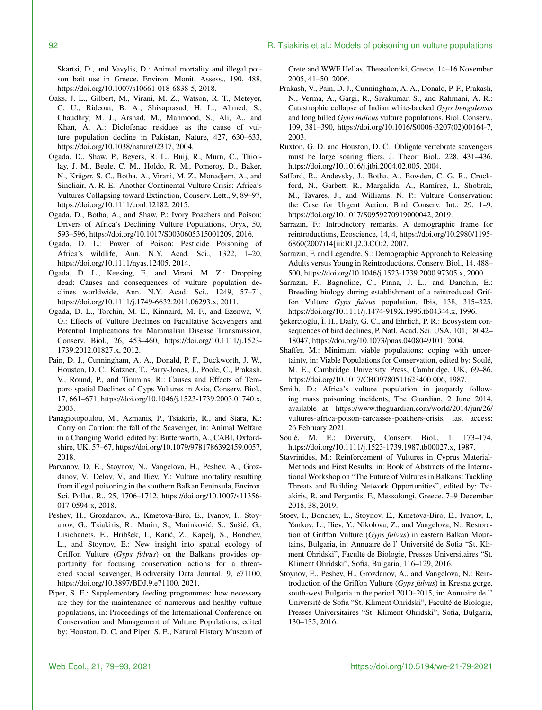Skartsi, D., and Vavylis, D.: Animal mortality and illegal poison bait use in Greece, Environ. Monit. Assess., 190, 488, https://doi.org[/10.1007/s10661-018-6838-5,](https://doi.org/10.1007/s10661-018-6838-5) 2018.

- Oaks, J. L., Gilbert, M., Virani, M. Z., Watson, R. T., Meteyer, C. U., Rideout, B. A., Shivaprasad, H. L., Ahmed, S., Chaudhry, M. J., Arshad, M., Mahmood, S., Ali, A., and Khan, A. A.: Diclofenac residues as the cause of vulture population decline in Pakistan, Nature, 427, 630–633, https://doi.org[/10.1038/nature02317,](https://doi.org/10.1038/nature02317) 2004.
- Ogada, D., Shaw, P., Beyers, R. L., Buij, R., Murn, C., Thiollay, J. M., Beale, C. M., Holdo, R. M., Pomeroy, D., Baker, N., Krüger, S. C., Botha, A., Virani, M. Z., Monadjem, A., and Sincliair, A. R. E.: Another Continental Vulture Crisis: Africa's Vultures Collapsing toward Extinction, Conserv. Lett., 9, 89–97, https://doi.org[/10.1111/conl.12182,](https://doi.org/10.1111/conl.12182) 2015.
- Ogada, D., Botha, A., and Shaw, P.: Ivory Poachers and Poison: Drivers of Africa's Declining Vulture Populations, Oryx, 50, 593–596, https://doi.org[/10.1017/S0030605315001209,](https://doi.org/10.1017/S0030605315001209) 2016.
- Ogada, D. L.: Power of Poison: Pesticide Poisoning of Africa's wildlife, Ann. N.Y. Acad. Sci., 1322, 1–20, https://doi.org[/10.1111/nyas.12405,](https://doi.org/10.1111/nyas.12405) 2014.
- Ogada, D. L., Keesing, F., and Virani, M. Z.: Dropping dead: Causes and consequences of vulture population declines worldwide, Ann. N.Y. Acad. Sci., 1249, 57–71, https://doi.org[/10.1111/j.1749-6632.2011.06293.x,](https://doi.org/10.1111/j.1749-6632.2011.06293.x) 2011.
- Ogada, D. L., Torchin, M. E., Kinnaird, M. F., and Ezenwa, V. O.: Effects of Vulture Declines on Facultative Scavengers and Potential Implications for Mammalian Disease Transmission, Conserv. Biol., 26, 453–460, https://doi.org[/10.1111/j.1523-](https://doi.org/10.1111/j.1523-1739.2012.01827.x) [1739.2012.01827.x,](https://doi.org/10.1111/j.1523-1739.2012.01827.x) 2012.
- Pain, D. J., Cunningham, A. A., Donald, P. F., Duckworth, J. W., Houston, D. C., Katzner, T., Parry-Jones, J., Poole, C., Prakash, V., Round, P., and Timmins, R.: Causes and Effects of Temporo spatial Declines of Gyps Vultures in Asia, Conserv. Biol., 17, 661–671, https://doi.org[/10.1046/j.1523-1739.2003.01740.x,](https://doi.org/10.1046/j.1523-1739.2003.01740.x) 2003.
- Panagiotopoulou, M., Azmanis, P., Tsiakiris, R., and Stara, K.: Carry on Carrion: the fall of the Scavenger, in: Animal Welfare in a Changing World, edited by: Butterworth, A., CABI, Oxfordshire, UK, 57–67, https://doi.org[/10.1079/9781786392459.0057,](https://doi.org/10.1079/9781786392459.0057) 2018.
- Parvanov, D. E., Stoynov, N., Vangelova, H., Peshev, A., Grozdanov, V., Delov, V., and Iliev, Y.: Vulture mortality resulting from illegal poisoning in the southern Balkan Peninsula, Environ. Sci. Pollut. R., 25, 1706–1712, https://doi.org[/10.1007/s11356-](https://doi.org/10.1007/s11356-017-0594-x) [017-0594-x,](https://doi.org/10.1007/s11356-017-0594-x) 2018.
- Peshev, H., Grozdanov, A., Kmetova-Biro, E., Ivanov, I., Stoyanov, G., Tsiakiris, R., Marin, S., Marinković, S., Sušić, G., Lisichanets, E., Hribšek, I., Karic, Z., Kapelj, S., Bonchev, ´ L., and Stoynov, E.: New insight into spatial ecology of Griffon Vulture (*Gyps fulvus*) on the Balkans provides opportunity for focusing conservation actions for a threatened social scavenger, Biodiversity Data Journal, 9, e71100, https://doi.org[/10.3897/BDJ.9.e71100,](https://doi.org/10.3897/BDJ.9.e71100) 2021.
- Piper, S. E.: Supplementary feeding programmes: how necessary are they for the maintenance of numerous and healthy vulture populations, in: Proceedings of the International Conference on Conservation and Management of Vulture Populations, edited by: Houston, D. C. and Piper, S. E., Natural History Museum of

Crete and WWF Hellas, Thessaloniki, Greece, 14–16 November 2005, 41–50, 2006.

- Prakash, V., Pain, D. J., Cunningham, A. A., Donald, P. F., Prakash, N., Verma, A., Gargi, R., Sivakumar, S., and Rahmani, A. R.: Catastrophic collapse of Indian white-backed *Gyps bengalensis* and long billed *Gyps indicus* vulture populations, Biol. Conserv., 109, 381–390, https://doi.org[/10.1016/S0006-3207\(02\)00164-7,](https://doi.org/10.1016/S0006-3207(02)00164-7) 2003.
- Ruxton, G. D. and Houston, D. C.: Obligate vertebrate scavengers must be large soaring fliers, J. Theor. Biol., 228, 431–436, https://doi.org[/10.1016/j.jtbi.2004.02.005,](https://doi.org/10.1016/j.jtbi.2004.02.005) 2004.
- Safford, R., Andevsky, J., Botha, A., Bowden, C. G. R., Crockford, N., Garbett, R., Margalida, A., Ramírez, I., Shobrak, M., Tavares, J., and Williams, N. P.: Vulture Conservation: the Case for Urgent Action, Bird Conserv. Int., 29, 1–9, https://doi.org[/10.1017/S0959270919000042,](https://doi.org/10.1017/S0959270919000042) 2019.
- Sarrazin, F.: Introductory remarks. A demographic frame for reintroductions, Ecoscience, 14, 4, https://doi.org[/10.2980/1195-](https://doi.org/10.2980/1195-6860(2007)14[iii:RL]2.0.CO;2) [6860\(2007\)14\[iii:RL\]2.0.CO;2,](https://doi.org/10.2980/1195-6860(2007)14[iii:RL]2.0.CO;2) 2007.
- Sarrazin, F. and Legendre, S.: Demographic Approach to Releasing Adults versus Young in Reintroductions, Conserv. Biol., 14, 488– 500, https://doi.org[/10.1046/j.1523-1739.2000.97305.x,](https://doi.org/10.1046/j.1523-1739.2000.97305.x) 2000.
- Sarrazin, F., Bagnoline, C., Pinna, J. L., and Danchin, E.: Breeding biology during establishment of a reintroduced Griffon Vulture *Gyps fulvus* population, Ibis, 138, 315–325, https://doi.org[/10.1111/j.1474-919X.1996.tb04344.x,](https://doi.org/10.1111/j.1474-919X.1996.tb04344.x) 1996.
- Şekercioğlu, Ì. H., Daily, G. C., and Ehrlich, P. R.: Ecosystem consequences of bird declines, P. Natl. Acad. Sci. USA, 101, 18042– 18047, https://doi.org[/10.1073/pnas.0408049101,](https://doi.org/10.1073/pnas.0408049101) 2004.
- Shaffer, M.: Minimum viable populations: coping with uncertainty, in: Viable Populations for Conservation, edited by: Soulé, M. E., Cambridge University Press, Cambridge, UK, 69–86, https://doi.org[/10.1017/CBO9780511623400.006,](https://doi.org/10.1017/CBO9780511623400.006) 1987.
- Smith, D.: Africa's vulture population in jeopardy following mass poisoning incidents, The Guardian, 2 June 2014, available at: [https://www.theguardian.com/world/2014/jun/26/](https://www.theguardian.com/world/2014/jun/26/vultures-africa-poison-carcasses-poachers-crisis) [vultures-africa-poison-carcasses-poachers-crisis,](https://www.theguardian.com/world/2014/jun/26/vultures-africa-poison-carcasses-poachers-crisis) last access: 26 February 2021.
- Soulé, M. E.: Diversity, Conserv. Biol., 1, 173–174, https://doi.org[/10.1111/j.1523-1739.1987.tb00027.x,](https://doi.org/10.1111/j.1523-1739.1987.tb00027.x) 1987.
- Stavrinides, M.: Reinforcement of Vultures in Cyprus Material-Methods and First Results, in: Book of Abstracts of the International Workshop on "The Future of Vultures in Balkans: Tackling Threats and Building Network Opportunities", edited by: Tsiakiris, R. and Pergantis, F., Messolongi, Greece, 7–9 December 2018, 38, 2019.
- Stoev, I., Bonchev, L., Stoynov, E., Kmetova-Biro, E., Ivanov, I., Yankov, L., Iliev, Y., Nikolova, Z., and Vangelova, N.: Restoration of Griffon Vulture (*Gyps fulvus*) in eastern Balkan Mountains, Bulgaria, in: Annuaire de l' Université de Sofia "St. Kliment Ohridski", Faculté de Biologie, Presses Universitaires "St. Kliment Ohridski", Sofia, Bulgaria, 116–129, 2016.
- Stoynov, E., Peshev, H., Grozdanov, A., and Vangelova, N.: Reintroduction of the Griffon Vulture (*Gyps fulvus*) in Kresna gorge, south-west Bulgaria in the period 2010–2015, in: Annuaire de l' Université de Sofia "St. Kliment Ohridski", Faculté de Biologie, Presses Universitaires "St. Kliment Ohridski", Sofia, Bulgaria, 130–135, 2016.